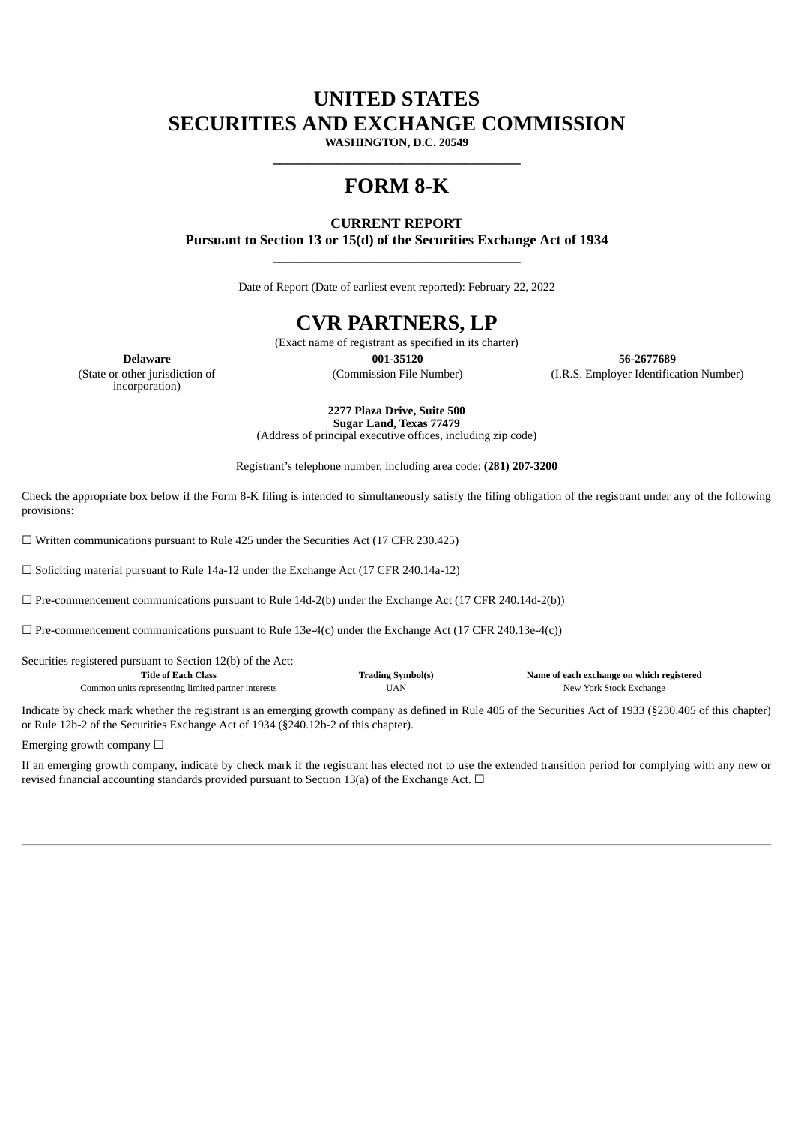# **UNITED STATES SECURITIES AND EXCHANGE COMMISSION**

**WASHINGTON, D.C. 20549 \_\_\_\_\_\_\_\_\_\_\_\_\_\_\_\_\_\_\_\_\_\_\_\_\_\_\_\_\_\_\_\_\_\_\_**

# **FORM 8-K**

**CURRENT REPORT Pursuant to Section 13 or 15(d) of the Securities Exchange Act of 1934 \_\_\_\_\_\_\_\_\_\_\_\_\_\_\_\_\_\_\_\_\_\_\_\_\_\_\_\_\_\_\_\_\_\_\_**

Date of Report (Date of earliest event reported): February 22, 2022

# **CVR PARTNERS, LP**

(Exact name of registrant as specified in its charter)

**Delaware 001-35120 56-2677689** (Commission File Number) (I.R.S. Employer Identification Number)

(State or other jurisdiction of incorporation)

**2277 Plaza Drive, Suite 500 Sugar Land, Texas 77479**

(Address of principal executive offices, including zip code)

Registrant's telephone number, including area code: **(281) 207-3200**

Check the appropriate box below if the Form 8-K filing is intended to simultaneously satisfy the filing obligation of the registrant under any of the following provisions:

☐ Written communications pursuant to Rule 425 under the Securities Act (17 CFR 230.425)

☐ Soliciting material pursuant to Rule 14a-12 under the Exchange Act (17 CFR 240.14a-12)

 $\Box$  Pre-commencement communications pursuant to Rule 14d-2(b) under the Exchange Act (17 CFR 240.14d-2(b))

 $\Box$  Pre-commencement communications pursuant to Rule 13e-4(c) under the Exchange Act (17 CFR 240.13e-4(c))

Securities registered pursuant to Section 12(b) of the Act:

| :las<br>H ach                                       | adino | Name of each exchange on which registered |
|-----------------------------------------------------|-------|-------------------------------------------|
| Common units representing limited partner interests | JAP   | - Exchange                                |

Indicate by check mark whether the registrant is an emerging growth company as defined in Rule 405 of the Securities Act of 1933 (§230.405 of this chapter) or Rule 12b-2 of the Securities Exchange Act of 1934 (§240.12b-2 of this chapter).

Emerging growth company  $\Box$ 

If an emerging growth company, indicate by check mark if the registrant has elected not to use the extended transition period for complying with any new or revised financial accounting standards provided pursuant to Section 13(a) of the Exchange Act.  $\Box$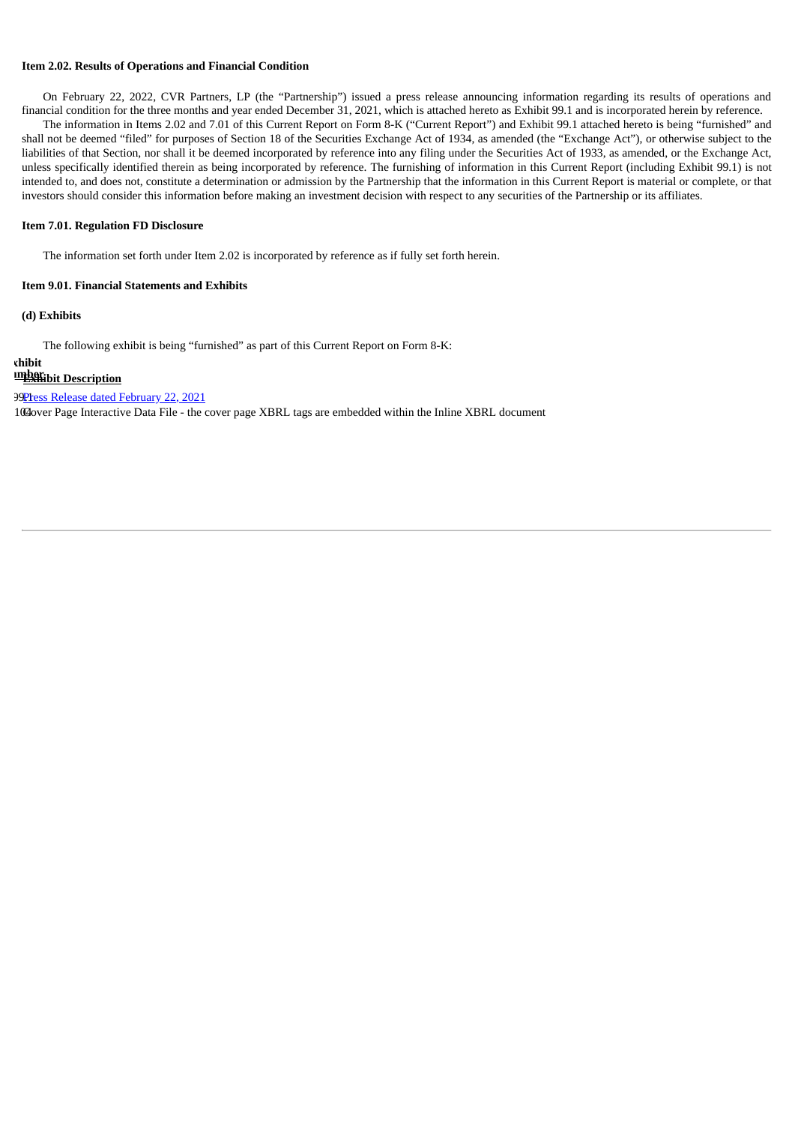#### **Item 2.02. Results of Operations and Financial Condition**

On February 22, 2022, CVR Partners, LP (the "Partnership") issued a press release announcing information regarding its results of operations and financial condition for the three months and year ended December 31, 2021, which is attached hereto as Exhibit 99.1 and is incorporated herein by reference.

The information in Items 2.02 and 7.01 of this Current Report on Form 8-K ("Current Report") and Exhibit 99.1 attached hereto is being "furnished" and shall not be deemed "filed" for purposes of Section 18 of the Securities Exchange Act of 1934, as amended (the "Exchange Act"), or otherwise subject to the liabilities of that Section, nor shall it be deemed incorporated by reference into any filing under the Securities Act of 1933, as amended, or the Exchange Act, unless specifically identified therein as being incorporated by reference. The furnishing of information in this Current Report (including Exhibit 99.1) is not intended to, and does not, constitute a determination or admission by the Partnership that the information in this Current Report is material or complete, or that investors should consider this information before making an investment decision with respect to any securities of the Partnership or its affiliates.

## **Item 7.01. Regulation FD Disclosure**

The information set forth under Item 2.02 is incorporated by reference as if fully set forth herein.

#### **Item 9.01. Financial Statements and Exhibits**

# **(d) Exhibits**

The following exhibit is being "furnished" as part of this Current Report on Form 8-K:

# **xhibit**

**umbaribit Description** 

99Press Release dated [February](#page-3-0) 2[2,](#page-3-0) [2021](#page-3-0)

10C4over Page Interactive Data File - the cover page XBRL tags are embedded within the Inline XBRL document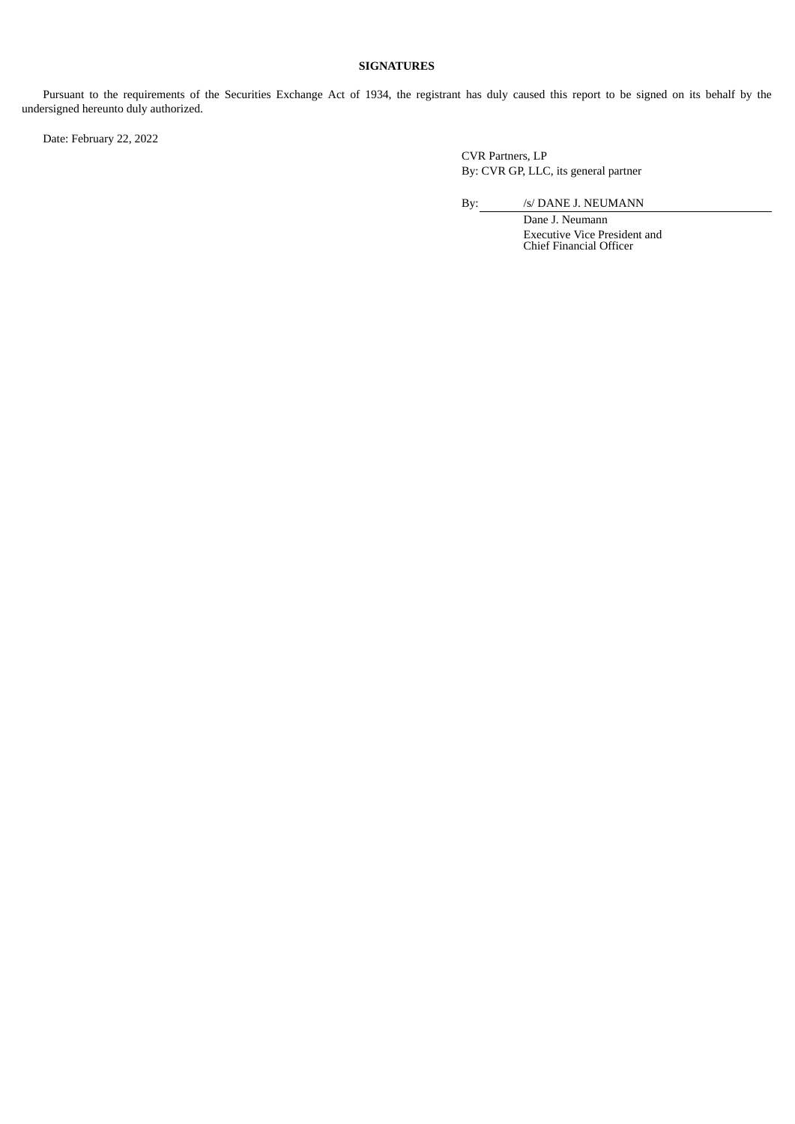# **SIGNATURES**

Pursuant to the requirements of the Securities Exchange Act of 1934, the registrant has duly caused this report to be signed on its behalf by the undersigned hereunto duly authorized.

Date: February 22, 2022

CVR Partners, LP By: CVR GP, LLC, its general partner

By: /s/ DANE J. NEUMANN

Dane J. Neumann Executive Vice President and Chief Financial Officer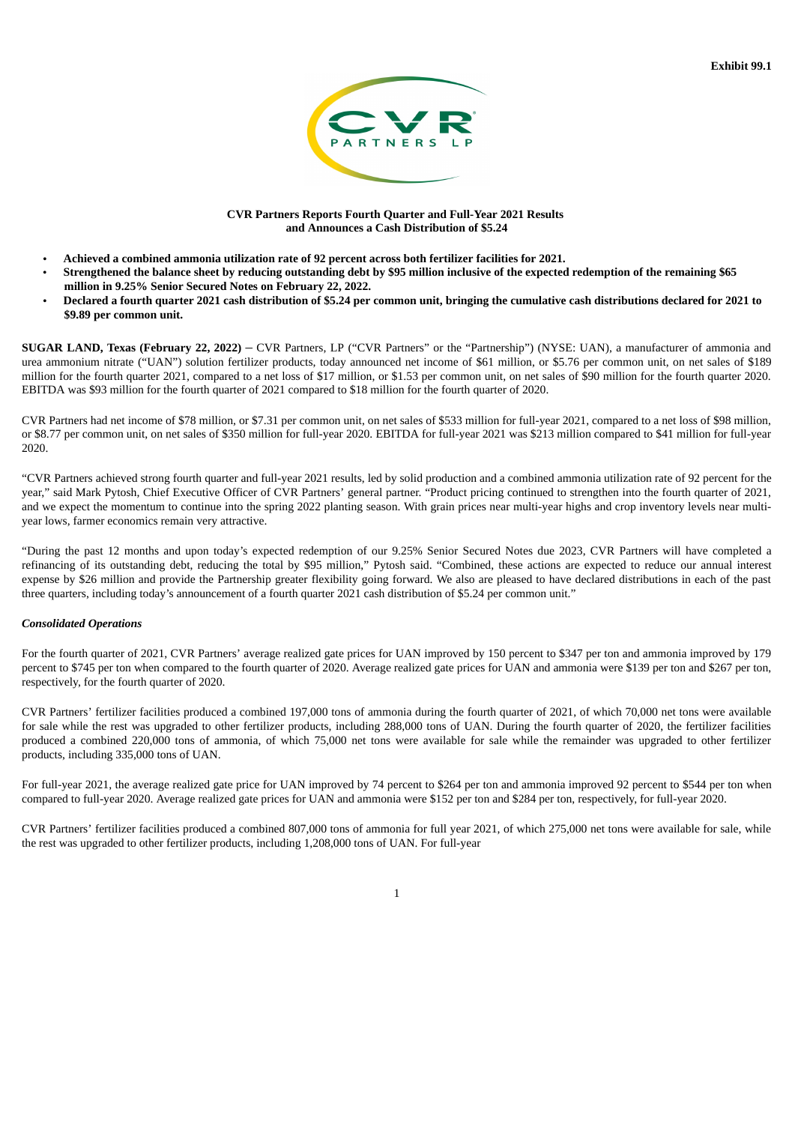

## **CVR Partners Reports Fourth Quarter and Full-Year 2021 Results and Announces a Cash Distribution of \$5.24**

- <span id="page-3-0"></span>*•* **Achieved a combined ammonia utilization rate of 92 percent across both fertilizer facilities for 2021.**
- Strengthened the balance sheet by reducing outstanding debt by \$95 million inclusive of the expected redemption of the remaining \$65 **million in 9.25% Senior Secured Notes on February 22, 2022.**
- Declared a fourth quarter 2021 cash distribution of \$5.24 per common unit, bringing the cumulative cash distributions declared for 2021 to **\$9.89 per common unit.**

**SUGAR LAND, Texas (February 22, 2022)** – CVR Partners, LP ("CVR Partners" or the "Partnership") (NYSE: UAN), a manufacturer of ammonia and urea ammonium nitrate ("UAN") solution fertilizer products, today announced net income of \$61 million, or \$5.76 per common unit, on net sales of \$189 million for the fourth quarter 2021, compared to a net loss of \$17 million, or \$1.53 per common unit, on net sales of \$90 million for the fourth quarter 2020. EBITDA was \$93 million for the fourth quarter of 2021 compared to \$18 million for the fourth quarter of 2020.

CVR Partners had net income of \$78 million, or \$7.31 per common unit, on net sales of \$533 million for full-year 2021, compared to a net loss of \$98 million, or \$8.77 per common unit, on net sales of \$350 million for full-year 2020. EBITDA for full-year 2021 was \$213 million compared to \$41 million for full-year 2020.

"CVR Partners achieved strong fourth quarter and full-year 2021 results, led by solid production and a combined ammonia utilization rate of 92 percent for the year," said Mark Pytosh, Chief Executive Officer of CVR Partners' general partner. "Product pricing continued to strengthen into the fourth quarter of 2021, and we expect the momentum to continue into the spring 2022 planting season. With grain prices near multi-year highs and crop inventory levels near multiyear lows, farmer economics remain very attractive.

"During the past 12 months and upon today's expected redemption of our 9.25% Senior Secured Notes due 2023, CVR Partners will have completed a refinancing of its outstanding debt, reducing the total by \$95 million," Pytosh said. "Combined, these actions are expected to reduce our annual interest expense by \$26 million and provide the Partnership greater flexibility going forward. We also are pleased to have declared distributions in each of the past three quarters, including today's announcement of a fourth quarter 2021 cash distribution of \$5.24 per common unit."

# *Consolidated Operations*

For the fourth quarter of 2021, CVR Partners' average realized gate prices for UAN improved by 150 percent to \$347 per ton and ammonia improved by 179 percent to \$745 per ton when compared to the fourth quarter of 2020. Average realized gate prices for UAN and ammonia were \$139 per ton and \$267 per ton, respectively, for the fourth quarter of 2020.

CVR Partners' fertilizer facilities produced a combined 197,000 tons of ammonia during the fourth quarter of 2021, of which 70,000 net tons were available for sale while the rest was upgraded to other fertilizer products, including 288,000 tons of UAN. During the fourth quarter of 2020, the fertilizer facilities produced a combined 220,000 tons of ammonia, of which 75,000 net tons were available for sale while the remainder was upgraded to other fertilizer products, including 335,000 tons of UAN.

For full-year 2021, the average realized gate price for UAN improved by 74 percent to \$264 per ton and ammonia improved 92 percent to \$544 per ton when compared to full-year 2020. Average realized gate prices for UAN and ammonia were \$152 per ton and \$284 per ton, respectively, for full-year 2020.

CVR Partners' fertilizer facilities produced a combined 807,000 tons of ammonia for full year 2021, of which 275,000 net tons were available for sale, while the rest was upgraded to other fertilizer products, including 1,208,000 tons of UAN. For full-year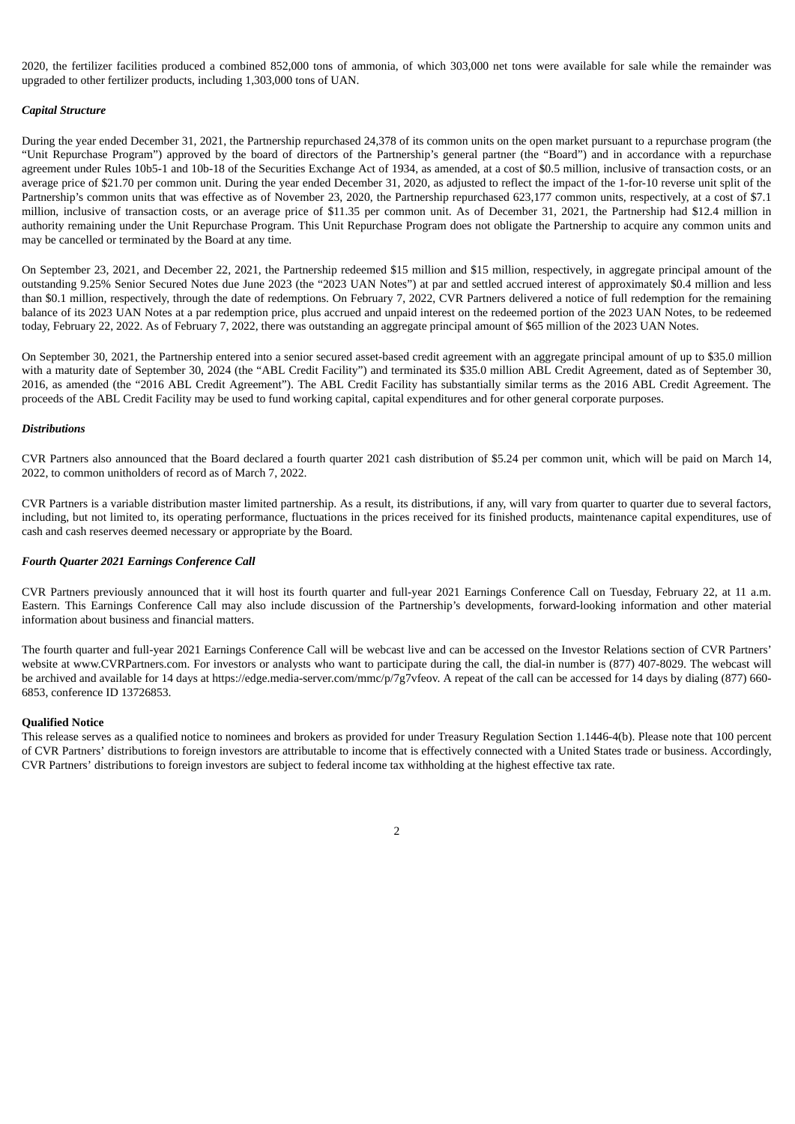2020, the fertilizer facilities produced a combined 852,000 tons of ammonia, of which 303,000 net tons were available for sale while the remainder was upgraded to other fertilizer products, including 1,303,000 tons of UAN.

## *Capital Structure*

During the year ended December 31, 2021, the Partnership repurchased 24,378 of its common units on the open market pursuant to a repurchase program (the "Unit Repurchase Program") approved by the board of directors of the Partnership's general partner (the "Board") and in accordance with a repurchase agreement under Rules 10b5-1 and 10b-18 of the Securities Exchange Act of 1934, as amended, at a cost of \$0.5 million, inclusive of transaction costs, or an average price of \$21.70 per common unit. During the year ended December 31, 2020, as adjusted to reflect the impact of the 1-for-10 reverse unit split of the Partnership's common units that was effective as of November 23, 2020, the Partnership repurchased 623,177 common units, respectively, at a cost of \$7.1 million, inclusive of transaction costs, or an average price of \$11.35 per common unit. As of December 31, 2021, the Partnership had \$12.4 million in authority remaining under the Unit Repurchase Program. This Unit Repurchase Program does not obligate the Partnership to acquire any common units and may be cancelled or terminated by the Board at any time.

On September 23, 2021, and December 22, 2021, the Partnership redeemed \$15 million and \$15 million, respectively, in aggregate principal amount of the outstanding 9.25% Senior Secured Notes due June 2023 (the "2023 UAN Notes") at par and settled accrued interest of approximately \$0.4 million and less than \$0.1 million, respectively, through the date of redemptions. On February 7, 2022, CVR Partners delivered a notice of full redemption for the remaining balance of its 2023 UAN Notes at a par redemption price, plus accrued and unpaid interest on the redeemed portion of the 2023 UAN Notes, to be redeemed today, February 22, 2022. As of February 7, 2022, there was outstanding an aggregate principal amount of \$65 million of the 2023 UAN Notes.

On September 30, 2021, the Partnership entered into a senior secured asset-based credit agreement with an aggregate principal amount of up to \$35.0 million with a maturity date of September 30, 2024 (the "ABL Credit Facility") and terminated its \$35.0 million ABL Credit Agreement, dated as of September 30, 2016, as amended (the "2016 ABL Credit Agreement"). The ABL Credit Facility has substantially similar terms as the 2016 ABL Credit Agreement. The proceeds of the ABL Credit Facility may be used to fund working capital, capital expenditures and for other general corporate purposes.

#### *Distributions*

CVR Partners also announced that the Board declared a fourth quarter 2021 cash distribution of \$5.24 per common unit, which will be paid on March 14, 2022, to common unitholders of record as of March 7, 2022.

CVR Partners is a variable distribution master limited partnership. As a result, its distributions, if any, will vary from quarter to quarter due to several factors, including, but not limited to, its operating performance, fluctuations in the prices received for its finished products, maintenance capital expenditures, use of cash and cash reserves deemed necessary or appropriate by the Board.

## *Fourth Quarter 2021 Earnings Conference Call*

CVR Partners previously announced that it will host its fourth quarter and full-year 2021 Earnings Conference Call on Tuesday, February 22, at 11 a.m. Eastern. This Earnings Conference Call may also include discussion of the Partnership's developments, forward-looking information and other material information about business and financial matters.

The fourth quarter and full-year 2021 Earnings Conference Call will be webcast live and can be accessed on the Investor Relations section of CVR Partners' website at www.CVRPartners.com. For investors or analysts who want to participate during the call, the dial-in number is (877) 407-8029. The webcast will be archived and available for 14 days at https://edge.media-server.com/mmc/p/7g7vfeov. A repeat of the call can be accessed for 14 days by dialing (877) 660-6853, conference ID 13726853.

## **Qualified Notice**

This release serves as a qualified notice to nominees and brokers as provided for under Treasury Regulation Section 1.1446-4(b). Please note that 100 percent of CVR Partners' distributions to foreign investors are attributable to income that is effectively connected with a United States trade or business. Accordingly, CVR Partners' distributions to foreign investors are subject to federal income tax withholding at the highest effective tax rate.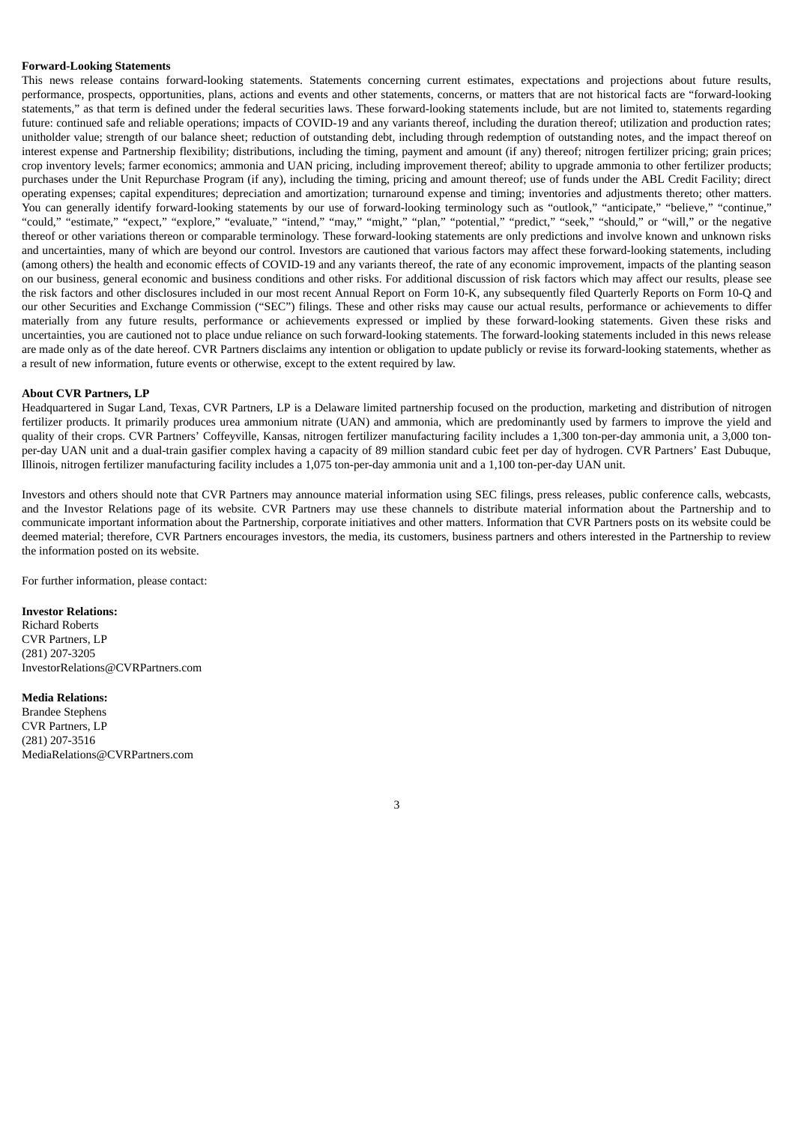#### **Forward-Looking Statements**

This news release contains forward-looking statements. Statements concerning current estimates, expectations and projections about future results, performance, prospects, opportunities, plans, actions and events and other statements, concerns, or matters that are not historical facts are "forward-looking statements," as that term is defined under the federal securities laws. These forward-looking statements include, but are not limited to, statements regarding future: continued safe and reliable operations; impacts of COVID-19 and any variants thereof, including the duration thereof; utilization and production rates; unitholder value; strength of our balance sheet; reduction of outstanding debt, including through redemption of outstanding notes, and the impact thereof on interest expense and Partnership flexibility; distributions, including the timing, payment and amount (if any) thereof; nitrogen fertilizer pricing; grain prices; crop inventory levels; farmer economics; ammonia and UAN pricing, including improvement thereof; ability to upgrade ammonia to other fertilizer products; purchases under the Unit Repurchase Program (if any), including the timing, pricing and amount thereof; use of funds under the ABL Credit Facility; direct operating expenses; capital expenditures; depreciation and amortization; turnaround expense and timing; inventories and adjustments thereto; other matters. You can generally identify forward-looking statements by our use of forward-looking terminology such as "outlook," "anticipate," "believe," "continue," "could," "estimate," "expect," "explore," "evaluate," "intend," "may," "might," "plan," "potential," "predict," "seek," "should," or "will," or the negative thereof or other variations thereon or comparable terminology. These forward-looking statements are only predictions and involve known and unknown risks and uncertainties, many of which are beyond our control. Investors are cautioned that various factors may affect these forward-looking statements, including (among others) the health and economic effects of COVID-19 and any variants thereof, the rate of any economic improvement, impacts of the planting season on our business, general economic and business conditions and other risks. For additional discussion of risk factors which may affect our results, please see the risk factors and other disclosures included in our most recent Annual Report on Form 10-K, any subsequently filed Quarterly Reports on Form 10-Q and our other Securities and Exchange Commission ("SEC") filings. These and other risks may cause our actual results, performance or achievements to differ materially from any future results, performance or achievements expressed or implied by these forward-looking statements. Given these risks and uncertainties, you are cautioned not to place undue reliance on such forward-looking statements. The forward-looking statements included in this news release are made only as of the date hereof. CVR Partners disclaims any intention or obligation to update publicly or revise its forward-looking statements, whether as a result of new information, future events or otherwise, except to the extent required by law.

#### **About CVR Partners, LP**

Headquartered in Sugar Land, Texas, CVR Partners, LP is a Delaware limited partnership focused on the production, marketing and distribution of nitrogen fertilizer products. It primarily produces urea ammonium nitrate (UAN) and ammonia, which are predominantly used by farmers to improve the yield and quality of their crops. CVR Partners' Coffeyville, Kansas, nitrogen fertilizer manufacturing facility includes a 1,300 ton-per-day ammonia unit, a 3,000 tonper-day UAN unit and a dual-train gasifier complex having a capacity of 89 million standard cubic feet per day of hydrogen. CVR Partners' East Dubuque, Illinois, nitrogen fertilizer manufacturing facility includes a 1,075 ton-per-day ammonia unit and a 1,100 ton-per-day UAN unit.

Investors and others should note that CVR Partners may announce material information using SEC filings, press releases, public conference calls, webcasts, and the Investor Relations page of its website. CVR Partners may use these channels to distribute material information about the Partnership and to communicate important information about the Partnership, corporate initiatives and other matters. Information that CVR Partners posts on its website could be deemed material; therefore, CVR Partners encourages investors, the media, its customers, business partners and others interested in the Partnership to review the information posted on its website.

For further information, please contact:

## **Investor Relations:**

Richard Roberts CVR Partners, LP (281) 207-3205 InvestorRelations@CVRPartners.com

## **Media Relations:**

Brandee Stephens CVR Partners, LP (281) 207-3516 MediaRelations@CVRPartners.com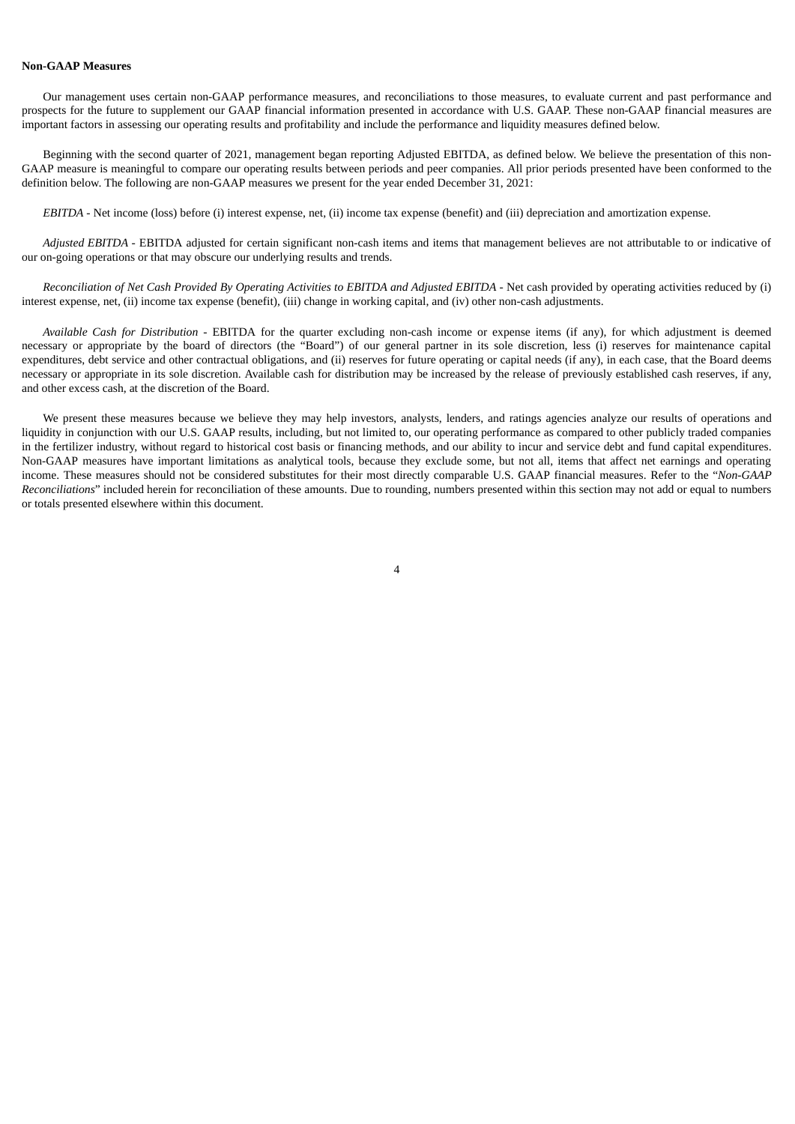#### **Non-GAAP Measures**

Our management uses certain non-GAAP performance measures, and reconciliations to those measures, to evaluate current and past performance and prospects for the future to supplement our GAAP financial information presented in accordance with U.S. GAAP. These non-GAAP financial measures are important factors in assessing our operating results and profitability and include the performance and liquidity measures defined below.

Beginning with the second quarter of 2021, management began reporting Adjusted EBITDA, as defined below. We believe the presentation of this non-GAAP measure is meaningful to compare our operating results between periods and peer companies. All prior periods presented have been conformed to the definition below. The following are non-GAAP measures we present for the year ended December 31, 2021:

*EBITDA* - Net income (loss) before (i) interest expense, net, (ii) income tax expense (benefit) and (iii) depreciation and amortization expense.

*Adjusted EBITDA* - EBITDA adjusted for certain significant non-cash items and items that management believes are not attributable to or indicative of our on-going operations or that may obscure our underlying results and trends.

Reconciliation of Net Cash Provided By Operating Activities to EBITDA and Adjusted EBITDA - Net cash provided by operating activities reduced by (i) interest expense, net, (ii) income tax expense (benefit), (iii) change in working capital, and (iv) other non-cash adjustments.

*Available Cash for Distribution* - EBITDA for the quarter excluding non-cash income or expense items (if any), for which adjustment is deemed necessary or appropriate by the board of directors (the "Board") of our general partner in its sole discretion, less (i) reserves for maintenance capital expenditures, debt service and other contractual obligations, and (ii) reserves for future operating or capital needs (if any), in each case, that the Board deems necessary or appropriate in its sole discretion. Available cash for distribution may be increased by the release of previously established cash reserves, if any, and other excess cash, at the discretion of the Board.

We present these measures because we believe they may help investors, analysts, lenders, and ratings agencies analyze our results of operations and liquidity in conjunction with our U.S. GAAP results, including, but not limited to, our operating performance as compared to other publicly traded companies in the fertilizer industry, without regard to historical cost basis or financing methods, and our ability to incur and service debt and fund capital expenditures. Non-GAAP measures have important limitations as analytical tools, because they exclude some, but not all, items that affect net earnings and operating income. These measures should not be considered substitutes for their most directly comparable U.S. GAAP financial measures. Refer to the "*Non-GAAP Reconciliations*" included herein for reconciliation of these amounts. Due to rounding, numbers presented within this section may not add or equal to numbers or totals presented elsewhere within this document.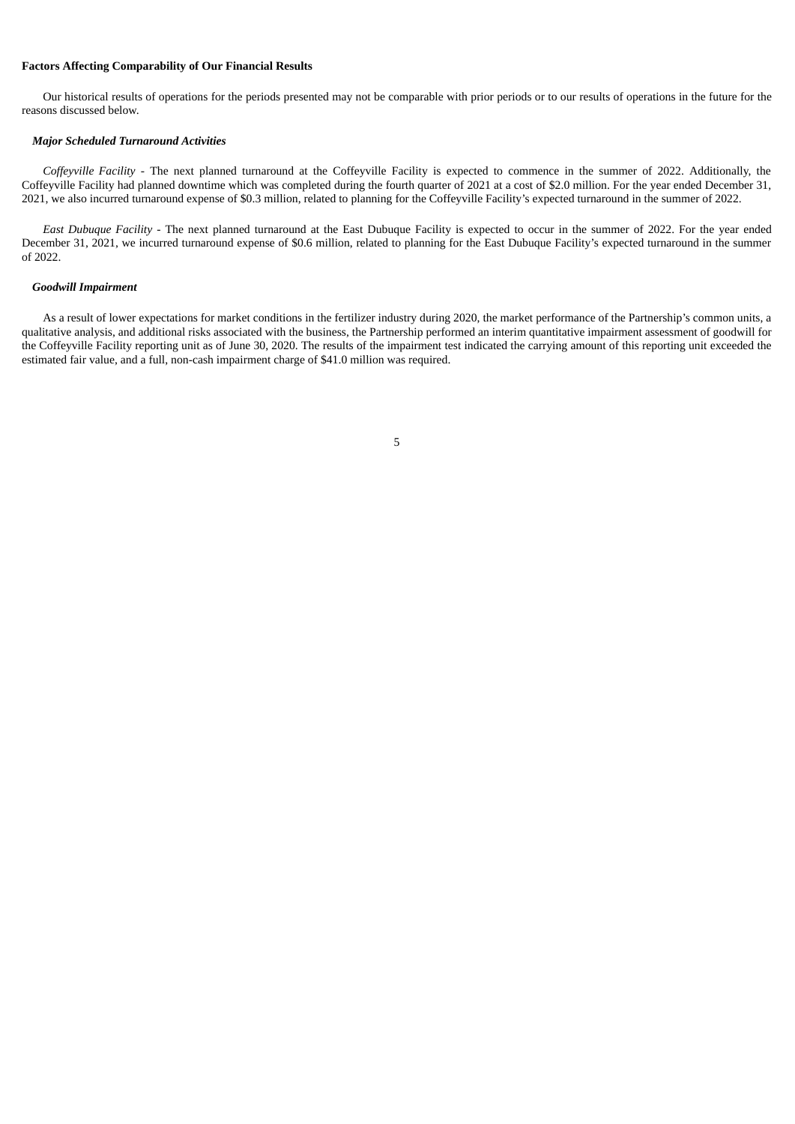## **Factors Affecting Comparability of Our Financial Results**

Our historical results of operations for the periods presented may not be comparable with prior periods or to our results of operations in the future for the reasons discussed below.

#### *Major Scheduled Turnaround Activities*

*Coffeyville Facility* - The next planned turnaround at the Coffeyville Facility is expected to commence in the summer of 2022. Additionally, the Coffeyville Facility had planned downtime which was completed during the fourth quarter of 2021 at a cost of \$2.0 million. For the year ended December 31, 2021, we also incurred turnaround expense of \$0.3 million, related to planning for the Coffeyville Facility's expected turnaround in the summer of 2022.

*East Dubuque Facility* - The next planned turnaround at the East Dubuque Facility is expected to occur in the summer of 2022. For the year ended December 31, 2021, we incurred turnaround expense of \$0.6 million, related to planning for the East Dubuque Facility's expected turnaround in the summer of 2022.

#### *Goodwill Impairment*

As a result of lower expectations for market conditions in the fertilizer industry during 2020, the market performance of the Partnership's common units, a qualitative analysis, and additional risks associated with the business, the Partnership performed an interim quantitative impairment assessment of goodwill for the Coffeyville Facility reporting unit as of June 30, 2020. The results of the impairment test indicated the carrying amount of this reporting unit exceeded the estimated fair value, and a full, non-cash impairment charge of \$41.0 million was required.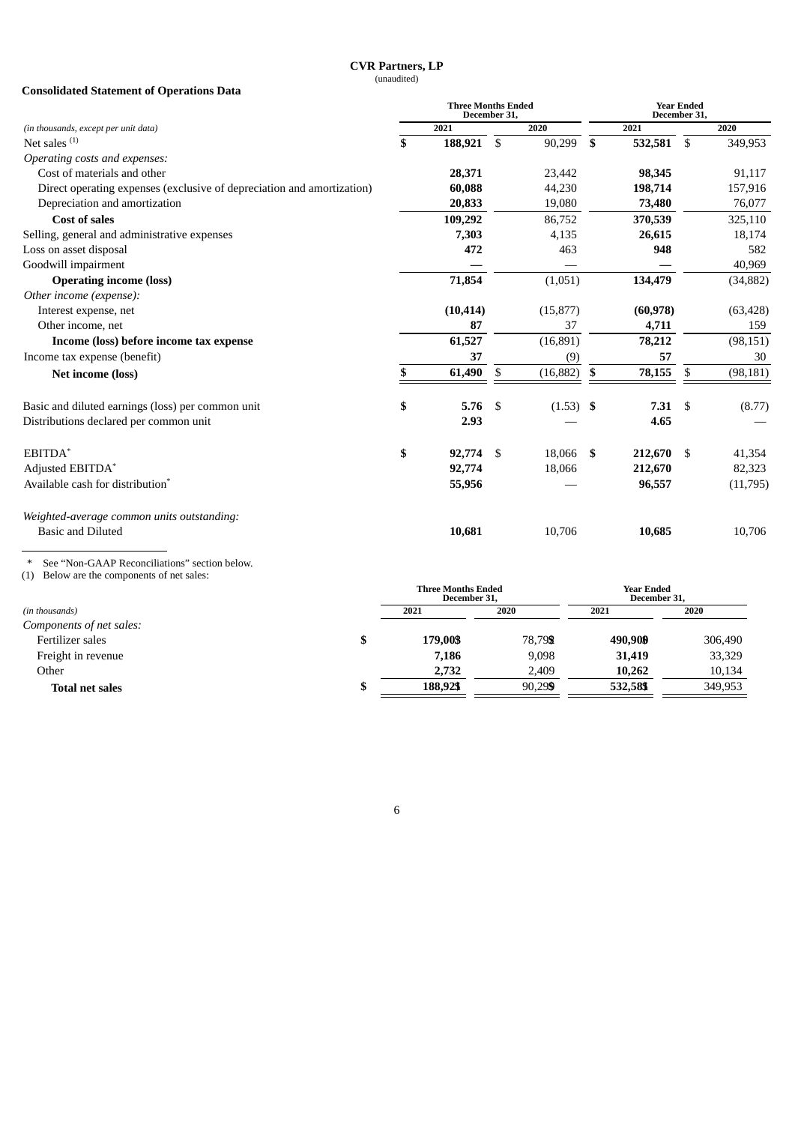#### **CVR Partners, LP** (unaudited)

# **Consolidated Statement of Operations Data**

|                                                                        | <b>Three Months Ended</b><br>December 31. |     |             |                  | <b>Year Ended</b><br>December 31. |           |
|------------------------------------------------------------------------|-------------------------------------------|-----|-------------|------------------|-----------------------------------|-----------|
| (in thousands, except per unit data)                                   | 2021                                      |     | 2020        | 2021             |                                   | 2020      |
| Net sales $(1)$                                                        | 188,921                                   | \$  | 90,299      | \$<br>532,581 \$ |                                   | 349,953   |
| Operating costs and expenses:                                          |                                           |     |             |                  |                                   |           |
| Cost of materials and other                                            | 28,371                                    |     | 23,442      | 98,345           |                                   | 91,117    |
| Direct operating expenses (exclusive of depreciation and amortization) | 60,088                                    |     | 44,230      | 198,714          |                                   | 157,916   |
| Depreciation and amortization                                          | 20,833                                    |     | 19,080      | 73,480           |                                   | 76,077    |
| <b>Cost of sales</b>                                                   | 109,292                                   |     | 86,752      | 370,539          |                                   | 325,110   |
| Selling, general and administrative expenses                           | 7,303                                     |     | 4,135       | 26,615           |                                   | 18,174    |
| Loss on asset disposal                                                 | 472                                       |     | 463         | 948              |                                   | 582       |
| Goodwill impairment                                                    |                                           |     |             |                  |                                   | 40,969    |
| <b>Operating income (loss)</b>                                         | 71,854                                    |     | (1,051)     | 134,479          |                                   | (34, 882) |
| Other income (expense):                                                |                                           |     |             |                  |                                   |           |
| Interest expense, net                                                  | (10, 414)                                 |     | (15, 877)   | (60, 978)        |                                   | (63, 428) |
| Other income, net                                                      | 87                                        |     | 37          | 4,711            |                                   | 159       |
| Income (loss) before income tax expense                                | 61,527                                    |     | (16, 891)   | 78,212           |                                   | (98, 151) |
| Income tax expense (benefit)                                           | 37                                        |     | (9)         | 57               |                                   | 30        |
| Net income (loss)                                                      | 61,490                                    | \$  | (16, 882)   | \$<br>78,155     | \$                                | (98, 181) |
| Basic and diluted earnings (loss) per common unit                      | \$<br>5.76                                | S.  | $(1.53)$ \$ | $7.31\quad$      |                                   | (8.77)    |
| Distributions declared per common unit                                 | 2.93                                      |     |             | 4.65             |                                   |           |
| EBITDA*                                                                | \$<br>92,774                              | -\$ | 18,066 \$   | 212,670 \$       |                                   | 41,354    |
| Adjusted EBITDA*                                                       | 92,774                                    |     | 18,066      | 212,670          |                                   | 82,323    |
| Available cash for distribution <sup>*</sup>                           | 55,956                                    |     |             | 96,557           |                                   | (11,795)  |
| Weighted-average common units outstanding:                             |                                           |     |             |                  |                                   |           |
| <b>Basic and Diluted</b>                                               | 10,681                                    |     | 10,706      | 10,685           |                                   | 10,706    |

\* See "Non-GAAP Reconciliations" section below.

| (1) Below are the components of net sales: |  |                                           |        |                            |         |
|--------------------------------------------|--|-------------------------------------------|--------|----------------------------|---------|
|                                            |  | <b>Three Months Ended</b><br>December 31. |        | Year Ended<br>December 31. |         |
| (in thousands)                             |  | 2021                                      | 2020   | 2021                       | 2020    |
| Components of net sales:                   |  |                                           |        |                            |         |
| Fertilizer sales                           |  | 179,00\$                                  | 78.799 | 490,909                    | 306,490 |
| Freight in revenue                         |  | 7,186                                     | 9,098  | 31,419                     | 33,329  |
| Other                                      |  | 2,732                                     | 2.409  | 10.262                     | 10,134  |
| <b>Total net sales</b>                     |  | 188,92%                                   | 90,299 | 532,581                    | 349,953 |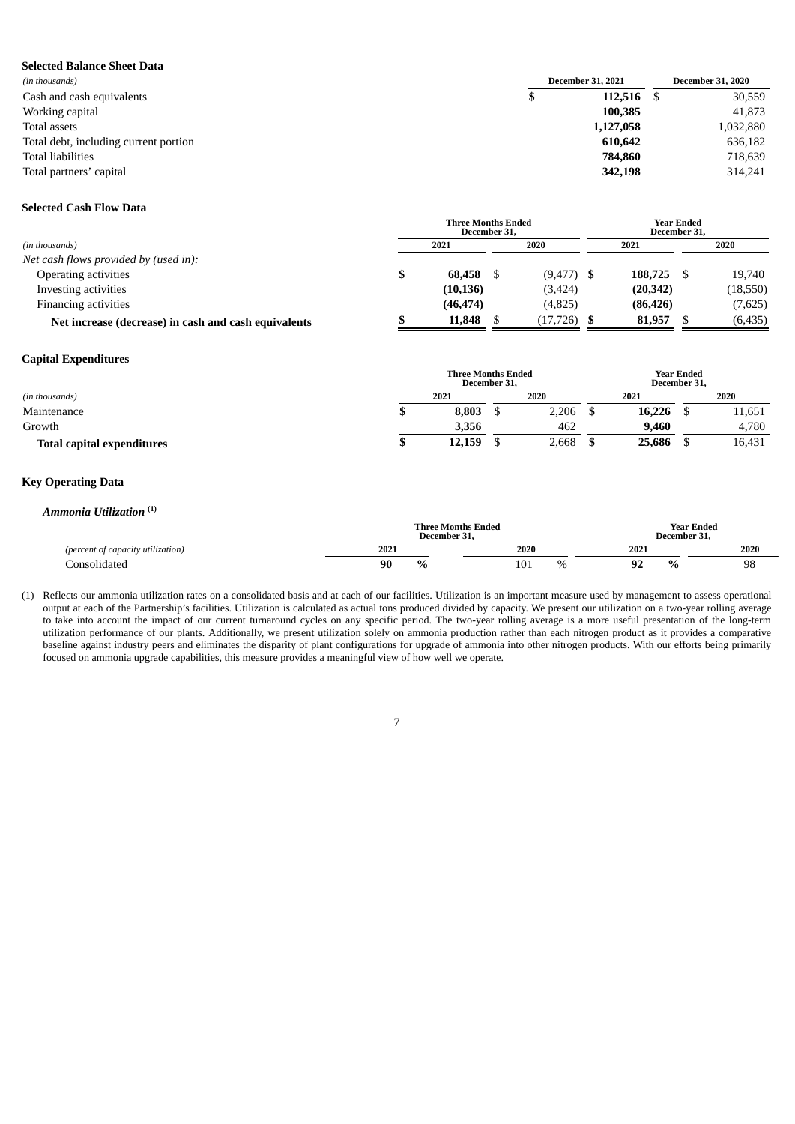| <b>Selected Balance Sheet Data</b>    |                          |           |  |                          |
|---------------------------------------|--------------------------|-----------|--|--------------------------|
| (in thousands)                        | <b>December 31, 2021</b> |           |  | <b>December 31, 2020</b> |
| Cash and cash equivalents             |                          | 112,516   |  | 30,559                   |
| Working capital                       |                          | 100,385   |  | 41,873                   |
| Total assets                          |                          | 1,127,058 |  | 1,032,880                |
| Total debt, including current portion |                          | 610,642   |  | 636,182                  |
| Total liabilities                     |                          | 784,860   |  | 718.639                  |
| Total partners' capital               |                          | 342,198   |  | 314.241                  |

## **Selected Cash Flow Data**

|                                                      |  | <b>Three Months Ended</b><br>December 31. | <b>Year Ended</b><br>December 31. |              |      |           |      |           |
|------------------------------------------------------|--|-------------------------------------------|-----------------------------------|--------------|------|-----------|------|-----------|
| (in thousands)                                       |  | 2021                                      | 2020                              |              | 2021 |           | 2020 |           |
| Net cash flows provided by (used in):                |  |                                           |                                   |              |      |           |      |           |
| Operating activities                                 |  | 68,458                                    |                                   | $(9,477)$ \$ |      | 188,725   |      | 19.740    |
| Investing activities                                 |  | (10, 136)                                 |                                   | (3, 424)     |      | (20, 342) |      | (18, 550) |
| <b>Financing activities</b>                          |  | (46, 474)                                 |                                   | (4, 825)     |      | (86, 426) |      | (7,625)   |
| Net increase (decrease) in cash and cash equivalents |  | 11,848                                    |                                   | (17, 726)    |      | 81,957    |      | (6, 435)  |

# **Capital Expenditures**

|                                   |  | <b>Three Months Ended</b><br>December 31, |  | Year Ended<br>December 31, |  |        |  |        |  |
|-----------------------------------|--|-------------------------------------------|--|----------------------------|--|--------|--|--------|--|
| (in thousands)                    |  | 2021                                      |  | 2020                       |  | 2021   |  | 2020   |  |
| Maintenance                       |  | 8,803                                     |  | 2,206                      |  | 16,226 |  | 11,651 |  |
| Growth                            |  | 3,356                                     |  | 462                        |  | 9,460  |  | 4.780  |  |
| <b>Total capital expenditures</b> |  | 12,159                                    |  | 2,668                      |  | 25,686 |  | 16,431 |  |

## **Key Operating Data**

#### *Ammonia Utilization* **(1)**

|                                   |      | <b>Three Months Ended</b><br>December 31. |                                                  |      | Year Ended<br>December 31. |      |      |  |
|-----------------------------------|------|-------------------------------------------|--------------------------------------------------|------|----------------------------|------|------|--|
| (percent of capacity utilization) | 2021 |                                           | 2020                                             |      | 2021                       |      | 2020 |  |
| 7.7.7<br>consolidated             | 90   | %                                         | 101<br>$\sim$ $\sim$ $\sim$ $\sim$ $\sim$ $\sim$ | $\%$ | $\mathbf{a}$<br>ےں         | $\%$ | 98   |  |

(1) Reflects our ammonia utilization rates on a consolidated basis and at each of our facilities. Utilization is an important measure used by management to assess operational output at each of the Partnership's facilities. Utilization is calculated as actual tons produced divided by capacity. We present our utilization on a two-year rolling average to take into account the impact of our current turnaround cycles on any specific period. The two-year rolling average is a more useful presentation of the long-term utilization performance of our plants. Additionally, we present utilization solely on ammonia production rather than each nitrogen product as it provides a comparative baseline against industry peers and eliminates the disparity of plant configurations for upgrade of ammonia into other nitrogen products. With our efforts being primarily focused on ammonia upgrade capabilities, this measure provides a meaningful view of how well we operate.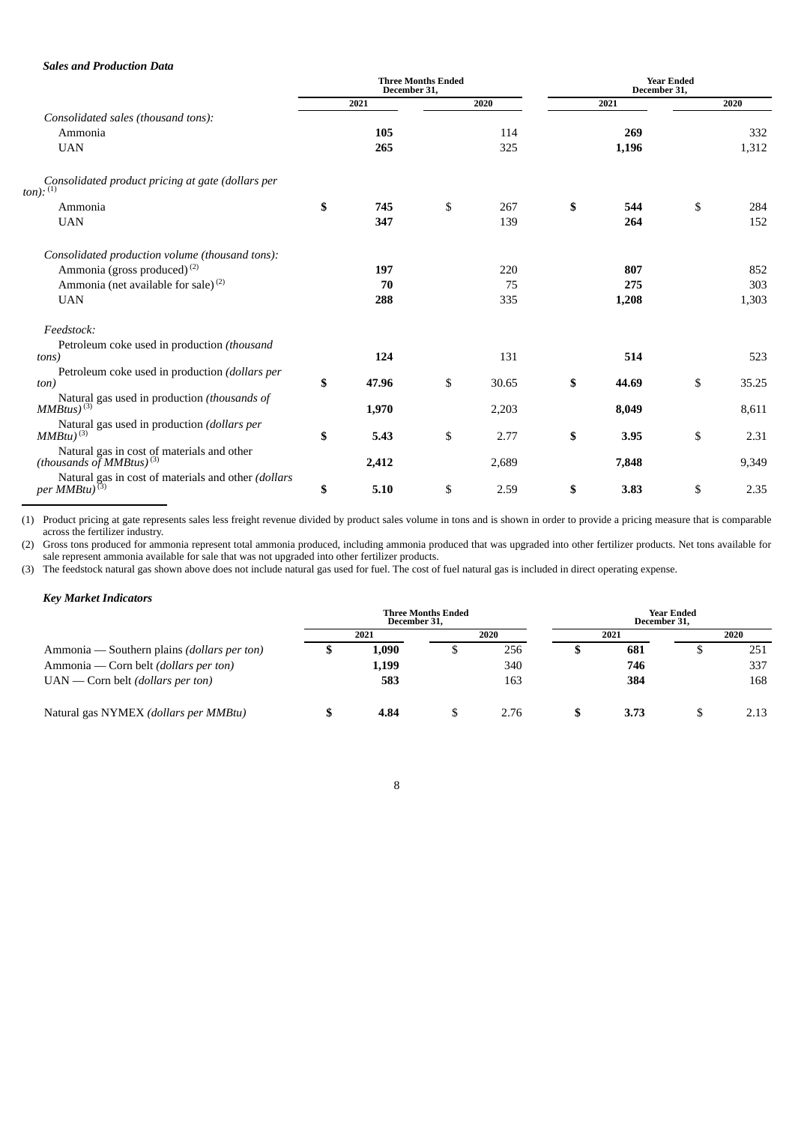# *Sales and Production Data*

|                                                                                            | <b>Three Months Ended</b><br>December 31. |           |    |           |    |            |    |            |
|--------------------------------------------------------------------------------------------|-------------------------------------------|-----------|----|-----------|----|------------|----|------------|
|                                                                                            |                                           | 2021      |    | 2020      |    | 2021       |    | 2020       |
| Consolidated sales (thousand tons):                                                        |                                           |           |    |           |    |            |    |            |
| Ammonia                                                                                    |                                           | 105       |    | 114       |    | 269        |    | 332        |
| <b>UAN</b>                                                                                 |                                           | 265       |    | 325       |    | 1,196      |    | 1,312      |
| Consolidated product pricing at gate (dollars per<br>ton): $(1)$                           |                                           |           |    |           |    |            |    |            |
| Ammonia                                                                                    | \$                                        | 745       | \$ | 267       | \$ | 544        | \$ | 284        |
| <b>UAN</b>                                                                                 |                                           | 347       |    | 139       |    | 264        |    | 152        |
| Consolidated production volume (thousand tons):                                            |                                           |           |    |           |    |            |    |            |
| Ammonia (gross produced) <sup>(2)</sup><br>Ammonia (net available for sale) <sup>(2)</sup> |                                           | 197<br>70 |    | 220<br>75 |    | 807<br>275 |    | 852<br>303 |
| <b>UAN</b>                                                                                 |                                           | 288       |    | 335       |    |            |    |            |
|                                                                                            |                                           |           |    |           |    | 1,208      |    | 1,303      |
| Feedstock:                                                                                 |                                           |           |    |           |    |            |    |            |
| Petroleum coke used in production (thousand                                                |                                           | 124       |    | 131       |    | 514        |    | 523        |
| tons)<br>Petroleum coke used in production (dollars per                                    |                                           |           |    |           |    |            |    |            |
| ton)                                                                                       | \$                                        | 47.96     | \$ | 30.65     | \$ | 44.69      | \$ | 35.25      |
| Natural gas used in production <i>(thousands of</i>                                        |                                           |           |    |           |    |            |    |            |
| $MMBtus$ <sup>(3)</sup>                                                                    |                                           | 1,970     |    | 2,203     |    | 8,049      |    | 8,611      |
| Natural gas used in production (dollars per<br>$MMBtu$ <sup>(3)</sup>                      | \$                                        | 5.43      | \$ | 2.77      | \$ | 3.95       | \$ | 2.31       |
| Natural gas in cost of materials and other<br>(thousands of MMBtus) $^{(3)}$               |                                           | 2,412     |    | 2,689     |    | 7,848      |    | 9,349      |
| Natural gas in cost of materials and other (dollars<br>per MMBtu) <sup>(3)</sup>           | \$                                        | 5.10      | \$ | 2.59      | \$ | 3.83       | \$ | 2.35       |

(1) Product pricing at gate represents sales less freight revenue divided by product sales volume in tons and is shown in order to provide a pricing measure that is comparable across the fertilizer industry.

(2) Gross tons produced for ammonia represent total ammonia produced, including ammonia produced that was upgraded into other fertilizer products. Net tons available for sale represent ammonia available for sale that was not upgraded into other fertilizer products.

(3) The feedstock natural gas shown above does not include natural gas used for fuel. The cost of fuel natural gas is included in direct operating expense.

## *Key Market Indicators*

|                                                    | December 31. | Three Months Ended | <b>Year Ended</b><br>December 31. |  |      |      |      |  |
|----------------------------------------------------|--------------|--------------------|-----------------------------------|--|------|------|------|--|
|                                                    | 2021         |                    | 2020                              |  | 2021 | 2020 |      |  |
| Ammonia — Southern plains <i>(dollars per ton)</i> | 1,090        |                    | 256                               |  | 681  |      | 251  |  |
| Ammonia — Corn belt (dollars per ton)              | 1,199        |                    | 340                               |  | 746  |      | 337  |  |
| $UAN$ — Corn belt <i>(dollars per ton)</i>         | 583          |                    | 163                               |  | 384  |      | 168  |  |
| Natural gas NYMEX (dollars per MMBtu)              | 4.84         |                    | 2.76                              |  | 3.73 |      | 2.13 |  |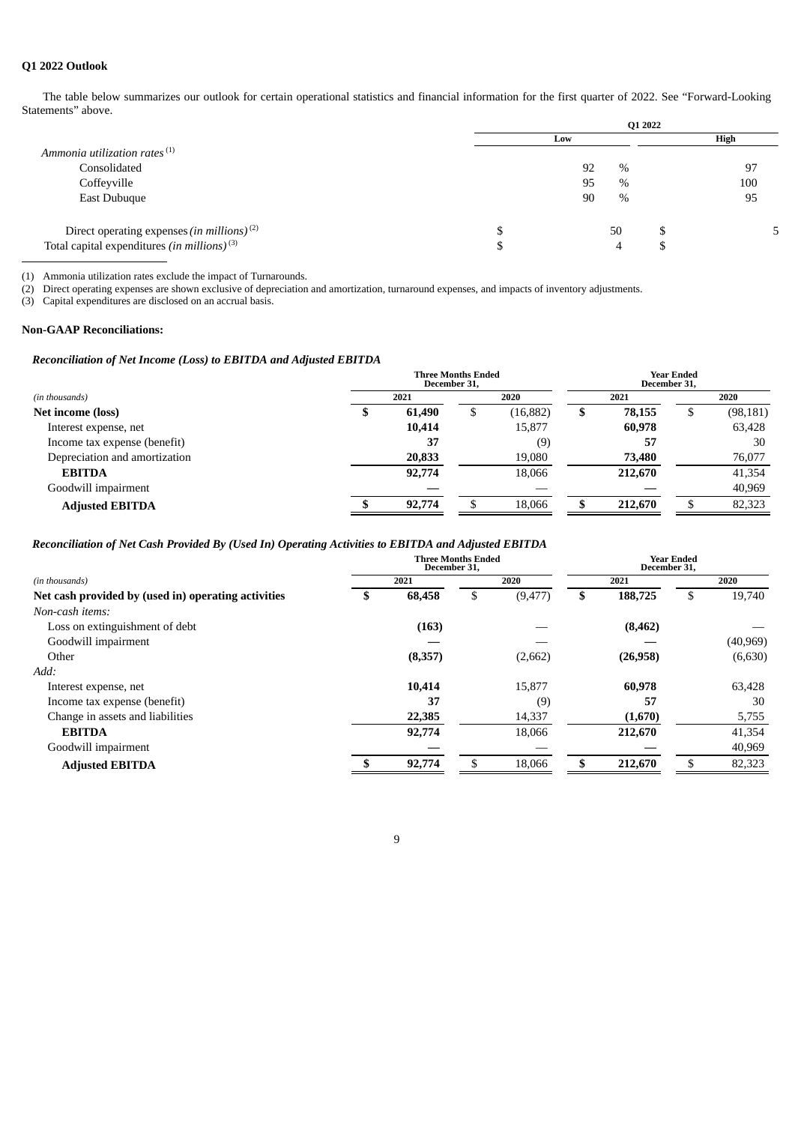# **Q1 2022 Outlook**

The table below summarizes our outlook for certain operational statistics and financial information for the first quarter of 2022. See "Forward-Looking Statements" above.

|                                                         | Q1 2022 |     |      |  |      |  |  |  |  |  |
|---------------------------------------------------------|---------|-----|------|--|------|--|--|--|--|--|
|                                                         |         | Low |      |  | High |  |  |  |  |  |
| Ammonia utilization rates <sup>(1)</sup>                |         |     |      |  |      |  |  |  |  |  |
| Consolidated                                            |         | 92  | $\%$ |  | 97   |  |  |  |  |  |
| Coffeyville                                             |         | 95  | $\%$ |  | 100  |  |  |  |  |  |
| East Dubuque                                            |         | 90  | $\%$ |  | 95   |  |  |  |  |  |
| Direct operating expenses (in millions) $(2)$           |         |     | 50   |  |      |  |  |  |  |  |
| Total capital expenditures (in millions) <sup>(3)</sup> |         |     | 4    |  |      |  |  |  |  |  |

(1) Ammonia utilization rates exclude the impact of Turnarounds.

(2) Direct operating expenses are shown exclusive of depreciation and amortization, turnaround expenses, and impacts of inventory adjustments.

(3) Capital expenditures are disclosed on an accrual basis.

# **Non-GAAP Reconciliations:**

# *Reconciliation of Net Income (Loss) to EBITDA and Adjusted EBITDA*

|                               | December 31. | <b>Three Months Ended</b> |           | <b>Year Ended</b><br>December 31, |         |      |           |  |
|-------------------------------|--------------|---------------------------|-----------|-----------------------------------|---------|------|-----------|--|
| (in thousands)                | 2021         |                           | 2020      |                                   | 2021    | 2020 |           |  |
| Net income (loss)             | 61,490       | D.                        | (16, 882) | S                                 | 78,155  | لت   | (98, 181) |  |
| Interest expense, net         | 10,414       |                           | 15,877    |                                   | 60,978  |      | 63,428    |  |
| Income tax expense (benefit)  | 37           |                           | (9)       |                                   | 57      |      | 30        |  |
| Depreciation and amortization | 20,833       |                           | 19,080    |                                   | 73,480  |      | 76,077    |  |
| <b>EBITDA</b>                 | 92,774       |                           | 18,066    |                                   | 212,670 |      | 41,354    |  |
| Goodwill impairment           |              |                           |           |                                   |         |      | 40,969    |  |
| <b>Adjusted EBITDA</b>        | 92,774       |                           | 18,066    |                                   | 212,670 |      | 82,323    |  |
|                               |              |                           |           |                                   |         |      |           |  |

## *Reconciliation of Net Cash Provided By (Used In) Operating Activities to EBITDA and Adjusted EBITDA*

|                                                     |      | <b>Three Months Ended</b><br>December 31, |    | <b>Year Ended</b><br>December 31, |    |          |      |           |
|-----------------------------------------------------|------|-------------------------------------------|----|-----------------------------------|----|----------|------|-----------|
| (in thousands)                                      | 2021 |                                           |    | 2020                              |    | 2021     | 2020 |           |
| Net cash provided by (used in) operating activities |      | 68,458                                    | \$ | (9, 477)                          | \$ | 188,725  | S    | 19,740    |
| Non-cash items:                                     |      |                                           |    |                                   |    |          |      |           |
| Loss on extinguishment of debt                      |      | (163)                                     |    |                                   |    | (8, 462) |      |           |
| Goodwill impairment                                 |      |                                           |    |                                   |    |          |      | (40, 969) |
| Other                                               |      | (8,357)                                   |    | (2,662)                           |    | (26,958) |      | (6,630)   |
| Add:                                                |      |                                           |    |                                   |    |          |      |           |
| Interest expense, net                               |      | 10,414                                    |    | 15.877                            |    | 60,978   |      | 63,428    |
| Income tax expense (benefit)                        |      | 37                                        |    | (9)                               |    | 57       |      | 30        |
| Change in assets and liabilities                    |      | 22,385                                    |    | 14,337                            |    | (1,670)  |      | 5,755     |
| <b>EBITDA</b>                                       |      | 92,774                                    |    | 18,066                            |    | 212,670  |      | 41,354    |
| Goodwill impairment                                 |      |                                           |    |                                   |    |          |      | 40,969    |
| <b>Adjusted EBITDA</b>                              |      | 92,774                                    | .S | 18,066                            | \$ | 212,670  |      | 82,323    |